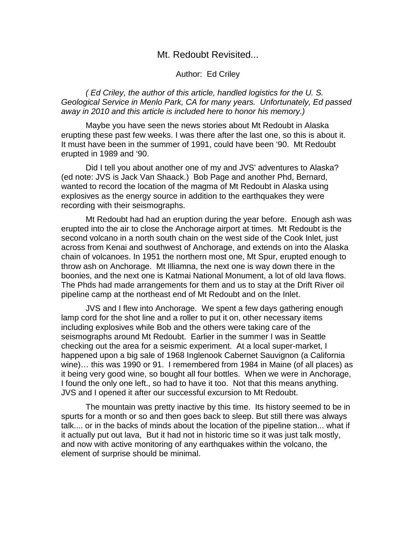## Mt. Redoubt Revisited...

## Author: Ed Criley

( Ed Criley, the author of this article, handled logistics for the U. S. Geological Service in Menlo Park, CA for many years. Unfortunately, Ed passed away in 2010 and this article is included here to honor his memory.)

Maybe you have seen the news stories about Mt Redoubt in Alaska erupting these past few weeks. I was there after the last one, so this is about it. It must have been in the summer of 1991, could have been '90. Mt Redoubt erupted in 1989 and '90.

Did I tell you about another one of my and JVS' adventures to Alaska? (ed note: JVS is Jack Van Shaack.) Bob Page and another Phd, Bernard, wanted to record the location of the magma of Mt Redoubt in Alaska using explosives as the energy source in addition to the earthquakes they were recording with their seismographs.

Mt Redoubt had had an eruption during the year before. Enough ash was erupted into the air to close the Anchorage airport at times. Mt Redoubt is the second volcano in a north south chain on the west side of the Cook Inlet, just across from Kenai and southwest of Anchorage, and extends on into the Alaska chain of volcanoes. In 1951 the northern most one, Mt Spur, erupted enough to throw ash on Anchorage. Mt Illiamna, the next one is way down there in the boonies, and the next one is Katmai National Monument, a lot of old lava flows. The Phds had made arrangements for them and us to stay at the Drift River oil pipeline camp at the northeast end of Mt Redoubt and on the Inlet.

JVS and I flew into Anchorage. We spent a few days gathering enough lamp cord for the shot line and a roller to put it on, other necessary items including explosives while Bob and the others were taking care of the seismographs around Mt Redoubt. Earlier in the summer I was in Seattle checking out the area for a seismic experiment. At a local super-market, I happened upon a big sale of 1968 Inglenook Cabernet Sauvignon (a California wine)… this was 1990 or 91. I remembered from 1984 in Maine (of all places) as it being very good wine, so bought all four bottles. When we were in Anchorage, I found the only one left., so had to have it too. Not that this means anything. JVS and I opened it after our successful excursion to Mt Redoubt.

The mountain was pretty inactive by this time. Its history seemed to be in spurts for a month or so and then goes back to sleep. But still there was always talk.... or in the backs of minds about the location of the pipeline station... what if it actually put out lava, But it had not in historic time so it was just talk mostly, and now with active monitoring of any earthquakes within the volcano, the element of surprise should be minimal.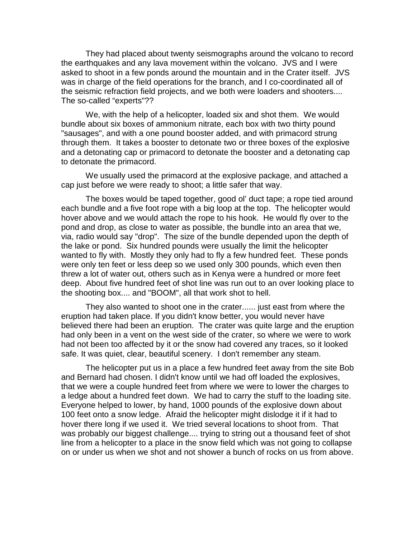They had placed about twenty seismographs around the volcano to record the earthquakes and any lava movement within the volcano. JVS and I were asked to shoot in a few ponds around the mountain and in the Crater itself. JVS was in charge of the field operations for the branch, and I co-coordinated all of the seismic refraction field projects, and we both were loaders and shooters.... The so-called "experts"??

 We, with the help of a helicopter, loaded six and shot them. We would bundle about six boxes of ammonium nitrate, each box with two thirty pound "sausages", and with a one pound booster added, and with primacord strung through them. It takes a booster to detonate two or three boxes of the explosive and a detonating cap or primacord to detonate the booster and a detonating cap to detonate the primacord.

We usually used the primacord at the explosive package, and attached a cap just before we were ready to shoot; a little safer that way.

The boxes would be taped together, good ol' duct tape; a rope tied around each bundle and a five foot rope with a big loop at the top. The helicopter would hover above and we would attach the rope to his hook. He would fly over to the pond and drop, as close to water as possible, the bundle into an area that we, via, radio would say "drop". The size of the bundle depended upon the depth of the lake or pond. Six hundred pounds were usually the limit the helicopter wanted to fly with. Mostly they only had to fly a few hundred feet. These ponds were only ten feet or less deep so we used only 300 pounds, which even then threw a lot of water out, others such as in Kenya were a hundred or more feet deep. About five hundred feet of shot line was run out to an over looking place to the shooting box.... and "BOOM", all that work shot to hell.

They also wanted to shoot one in the crater...... just east from where the eruption had taken place. If you didn't know better, you would never have believed there had been an eruption. The crater was quite large and the eruption had only been in a vent on the west side of the crater, so where we were to work had not been too affected by it or the snow had covered any traces, so it looked safe. It was quiet, clear, beautiful scenery. I don't remember any steam.

The helicopter put us in a place a few hundred feet away from the site Bob and Bernard had chosen. I didn't know until we had off loaded the explosives, that we were a couple hundred feet from where we were to lower the charges to a ledge about a hundred feet down. We had to carry the stuff to the loading site. Everyone helped to lower, by hand, 1000 pounds of the explosive down about 100 feet onto a snow ledge. Afraid the helicopter might dislodge it if it had to hover there long if we used it. We tried several locations to shoot from. That was probably our biggest challenge.... trying to string out a thousand feet of shot line from a helicopter to a place in the snow field which was not going to collapse on or under us when we shot and not shower a bunch of rocks on us from above.